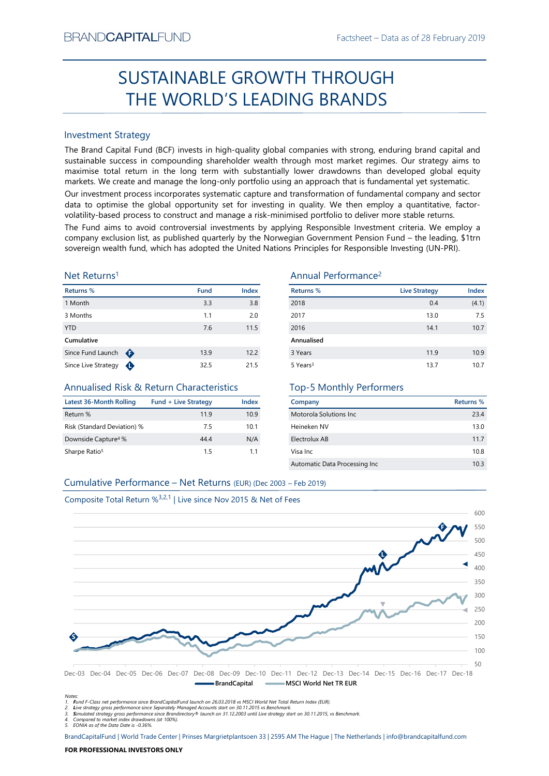# Factsheet – Data as of 28 February 2019<br> **ROUGH** SUSTAINABLE GROWTH THROUGH THE WORLD'S LEADING BRANDS

# Investment Strategy

SUSTAINABLE GROWTH THROUGH<br>
THE WORLD'S LEADING BRANDS<br>
Investment Strategy<br>
Investment Strategy<br>
Investment Strategy<br>
Investment Strategy aims to<br>
Investment Strategy in methods concerned the more investment in through m  $\begin{tabular}{l|c|c|c|c|c} \hline \multicolumn{3}{l}{SUSTAINABLE GROWTH THROUGH} \hline \multicolumn{3}{l}{PUCSAINABLE GROWTH THROUGH} \hline \multicolumn{3}{l}{PUCSAINLES RAMDS} \hline \multicolumn{3}{l}{SUSTANMS} \hline \multicolumn{3}{l}{The Brand Capital Fund (SCF) invests in high-quality global companies with strong enturing branch data and sustainable success in compromise total return in the long term with sustainability lower drawdowns than developed global equity. Our investment process incorporate system with robustantially lower drawdowns than developed of a plan and approach that is fundamental or to a primitive, the global opportunity. We then employ a quantitative function of fundamental company and sector volatility-based process to construct and manage a risk-minimised portfolio to deliver$ BRAND**CAPITAL**FUND<br>
Factsheet – Data as of 28 February 2019<br> **SUSTAINABLE GROWTH THROUGH**<br> **THE WORLD'S LEADING BRANDS**<br>
Investment Strategy<br>
Investment Strategy<br>
Investment Strategy<br>
Investment Strategy<br>
Investment Strate BRAND**CAPITAL**FUND<br>
Factsheet – Data as of 28 February 2019<br>
SUSTAINABLE GROWTH THROUGH<br>
THE WORLD'S LEADING BRANDS<br>
Investment Strategy<br>
The Brand Capital Fund (BCF) invests in high-quality global companies with strong, e ESTAIN THE WORLD'S LEADING Factsheet – Data as of 28 February 2019<br>
SUSTAIN ABLE GROWTH THROUGH<br>
THE WORLD'S LEADING BRANDS<br>
Investment Strategy<br>
The Brand Capital Fund (BCF) invests in high-quality global companies with s BRAND**CAPITAL**FUND<br>
Factsheet – Data as of 28 February 2019<br>
SUSTAINABLE GROWTH THROUGH<br>
THE WORLD'S LEADING BRANDS<br>
Investment Strategy<br>
Investment Strategy<br>
Investment Strategy<br>
Investment Strategy<br>
Investment Strategy<br> BRAND**CAPITAL**FUND<br>
SUSTAINABLE GROWTH THROUGH<br>
THE WORLD'S LEADING BRANDS<br>
Investment Strategy<br>
Investment Strategy<br>
Investment Strategy<br>
Investment Strategy<br>
Investment Strategy<br>
Sustainable success in compounding shareh BRANDCAPITALFUND Factsheet – Data as of 28 February 2019<br>
SUSTAINABLE GROWTH THROUGH<br>
THE WORLD'S LEADING BRANDS<br>
Investment Strategy<br>
The Brand Capital Fund (ICF) invests in high-quality global companies with strong, endu BRANDCAPITALFUND<br>
SUSTAINABLE GROWTH THROUGH<br>
THE WORLD'S LEADING BRANDS<br>
Investment Strategy<br>
Interactional Construct and Construct and CONSTANTS<br>
Investment Strategy<br>
The Brand Capital Fund (BCF) invests in high-quality BRANDCAPITALFUND<br>
SUSTAINABLE GROWTH THROUGH<br>
THE WORLD'S LEADING BRANDS<br>
Investment Strategy<br>
The Brand Gapital Fund (BCF) invests in high-quality global companies with strong, enduring brand capital and<br>
sustainable succ BRANDCAPITALFUND<br>
SUSTAINABLE GROWTH THROUGH<br>
THE WORLD'S LEADING BRANDS<br>
Investment Strategy<br>
The Brand Capital Fund (BCF) invests in high-quality global companies with strong, enduring brand capital and<br>
maximize to con BRANDCAPITALFUND<br>
SUSTAINABLE GROWTH THROUGH<br>
THE WORLD'S LEADING BRANDS<br>
Investment Strategy<br>
Investment Strategy<br>
Investign and Capital Transmack fund (CCF) invests in high-quality global companies with strong, enduring

# Net Returns1

| Returns %           |   | <b>Fund</b> | <b>Index</b> |
|---------------------|---|-------------|--------------|
| 1 Month             |   | 3.3         | 3.8          |
| 3 Months            |   | 1.1         | 2.0          |
| <b>YTD</b>          |   | 7.6         | 11.5         |
| Cumulative          |   |             |              |
| Since Fund Launch   | ⊕ | 13.9        | 12.2         |
| Since Live Strategy |   | 32.5        | 21.5         |

# Annualised Risk & Return Characteristics

| Latest 36-Month Rolling         | <b>Fund + Live Strategy</b> | Index |
|---------------------------------|-----------------------------|-------|
| Return %                        | 119                         | 10.9  |
| Risk (Standard Deviation) %     | 75                          | 10.1  |
| Downside Capture <sup>4</sup> % | 44 4                        | N/A   |
| Sharpe Ratio <sup>5</sup>       | 15                          | 11    |

# Annual Performance2

|                                                                               |                             |              | <b>SUSTAINABLE GROWTH THROUGH</b>                                                                                                                                                                                                                                                                                                                                                                                                                                                                                                                                                                                                                                                                                                                                                               |                      |                  |
|-------------------------------------------------------------------------------|-----------------------------|--------------|-------------------------------------------------------------------------------------------------------------------------------------------------------------------------------------------------------------------------------------------------------------------------------------------------------------------------------------------------------------------------------------------------------------------------------------------------------------------------------------------------------------------------------------------------------------------------------------------------------------------------------------------------------------------------------------------------------------------------------------------------------------------------------------------------|----------------------|------------------|
|                                                                               |                             |              | THE WORLD'S LEADING BRANDS                                                                                                                                                                                                                                                                                                                                                                                                                                                                                                                                                                                                                                                                                                                                                                      |                      |                  |
|                                                                               |                             |              |                                                                                                                                                                                                                                                                                                                                                                                                                                                                                                                                                                                                                                                                                                                                                                                                 |                      |                  |
| <b>Investment Strategy</b>                                                    |                             |              |                                                                                                                                                                                                                                                                                                                                                                                                                                                                                                                                                                                                                                                                                                                                                                                                 |                      |                  |
|                                                                               |                             |              | The Brand Capital Fund (BCF) invests in high-quality global companies with strong, enduring brand capital and<br>sustainable success in compounding shareholder wealth through most market regimes. Our strategy aims to<br>maximise total return in the long term with substantially lower drawdowns than developed global equity<br>markets. We create and manage the long-only portfolio using an approach that is fundamental yet systematic.<br>Our investment process incorporates systematic capture and transformation of fundamental company and sector<br>data to optimise the global opportunity set for investing in quality. We then employ a quantitative, factor-<br>volatility-based process to construct and manage a risk-minimised portfolio to deliver more stable returns. |                      |                  |
|                                                                               |                             |              | The Fund aims to avoid controversial investments by applying Responsible Investment criteria. We employ a                                                                                                                                                                                                                                                                                                                                                                                                                                                                                                                                                                                                                                                                                       |                      |                  |
|                                                                               |                             |              | company exclusion list, as published quarterly by the Norwegian Government Pension Fund - the leading, \$1trn<br>sovereign wealth fund, which has adopted the United Nations Principles for Responsible Investing (UN-PRI).                                                                                                                                                                                                                                                                                                                                                                                                                                                                                                                                                                     |                      |                  |
| Net Returns <sup>1</sup>                                                      |                             |              | Annual Performance <sup>2</sup>                                                                                                                                                                                                                                                                                                                                                                                                                                                                                                                                                                                                                                                                                                                                                                 |                      |                  |
| Returns %                                                                     | <b>Fund</b>                 | Index        | <b>Returns %</b>                                                                                                                                                                                                                                                                                                                                                                                                                                                                                                                                                                                                                                                                                                                                                                                | <b>Live Strategy</b> | Index            |
| 1 Month                                                                       | 3.3                         | 3.8          | 2018                                                                                                                                                                                                                                                                                                                                                                                                                                                                                                                                                                                                                                                                                                                                                                                            | 0.4                  | (4.1)            |
| 3 Months                                                                      | 1.1                         | 2.0          | 2017                                                                                                                                                                                                                                                                                                                                                                                                                                                                                                                                                                                                                                                                                                                                                                                            | 13.0                 | 7.5              |
| <b>YTD</b>                                                                    | 7.6                         | 11.5         | 2016                                                                                                                                                                                                                                                                                                                                                                                                                                                                                                                                                                                                                                                                                                                                                                                            | 14.1                 | 10.7             |
| Cumulative                                                                    |                             |              | Annualised                                                                                                                                                                                                                                                                                                                                                                                                                                                                                                                                                                                                                                                                                                                                                                                      |                      |                  |
| Since Fund Launch $\bigoplus$<br>Since Live Strategy $\bigoplus$              | 13.9<br>32.5                | 12.2<br>21.5 | 3 Years<br>5 Years <sup>3</sup>                                                                                                                                                                                                                                                                                                                                                                                                                                                                                                                                                                                                                                                                                                                                                                 | 11.9<br>13.7         | 10.9<br>10.7     |
|                                                                               |                             |              |                                                                                                                                                                                                                                                                                                                                                                                                                                                                                                                                                                                                                                                                                                                                                                                                 |                      |                  |
| Annualised Risk & Return Characteristics                                      |                             |              | <b>Top-5 Monthly Performers</b>                                                                                                                                                                                                                                                                                                                                                                                                                                                                                                                                                                                                                                                                                                                                                                 |                      |                  |
| <b>Latest 36-Month Rolling</b>                                                | <b>Fund + Live Strategy</b> | Index        | Company                                                                                                                                                                                                                                                                                                                                                                                                                                                                                                                                                                                                                                                                                                                                                                                         |                      | <b>Returns %</b> |
| Return %                                                                      | 11.9                        | 10.9         | Motorola Solutions Inc                                                                                                                                                                                                                                                                                                                                                                                                                                                                                                                                                                                                                                                                                                                                                                          |                      | 23.4             |
| Risk (Standard Deviation) %                                                   | 7.5                         | 10.1         | Heineken NV                                                                                                                                                                                                                                                                                                                                                                                                                                                                                                                                                                                                                                                                                                                                                                                     |                      | 13.0             |
| Downside Capture <sup>4</sup> %                                               | 44.4                        | N/A          | Electrolux AB                                                                                                                                                                                                                                                                                                                                                                                                                                                                                                                                                                                                                                                                                                                                                                                   |                      | 11.7             |
| Sharpe Ratio <sup>5</sup>                                                     | 1.5                         | 1.1          | Visa Inc                                                                                                                                                                                                                                                                                                                                                                                                                                                                                                                                                                                                                                                                                                                                                                                        |                      | 10.8             |
|                                                                               |                             |              | Automatic Data Processing Inc                                                                                                                                                                                                                                                                                                                                                                                                                                                                                                                                                                                                                                                                                                                                                                   |                      | 10.3             |
| Cumulative Performance - Net Returns (EUR) (Dec 2003 - Feb 2019)              |                             |              |                                                                                                                                                                                                                                                                                                                                                                                                                                                                                                                                                                                                                                                                                                                                                                                                 |                      |                  |
| Composite Total Return % <sup>3,2,1</sup>   Live since Nov 2015 & Net of Fees |                             |              |                                                                                                                                                                                                                                                                                                                                                                                                                                                                                                                                                                                                                                                                                                                                                                                                 |                      |                  |
|                                                                               |                             |              |                                                                                                                                                                                                                                                                                                                                                                                                                                                                                                                                                                                                                                                                                                                                                                                                 |                      | 600              |
|                                                                               |                             |              |                                                                                                                                                                                                                                                                                                                                                                                                                                                                                                                                                                                                                                                                                                                                                                                                 |                      |                  |

# Top-5 Monthly Performers

| Company                       | Returns % |
|-------------------------------|-----------|
| Motorola Solutions Inc.       | 23.4      |
| Heineken NV                   | 13.0      |
| Electrolux AB                 | 11.7      |
| Visa Inc                      | 10.8      |
| Automatic Data Processing Inc | 10 3      |



Notes:<br>1. Fund F-Class net performance since BrandCapitalFund launch on 26.03.2018 vs MSCI World Net Total Return Index (EUR).<br>2. Live strategy gross performance since Separately Managed Accounts start on 30.11.2015 vs Ben

5. EONIA as of the Data Date is -0.36%.